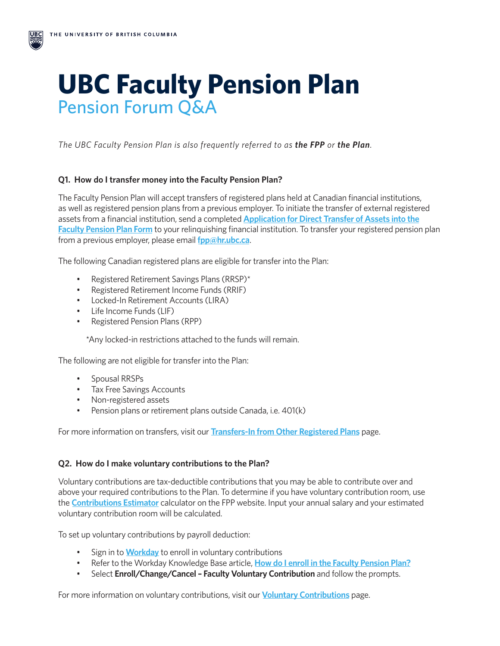

# **UBC Faculty Pension Plan** Pension Forum Q&A

*The UBC Faculty Pension Plan is also frequently referred to as the FPP or the Plan.*

## **Q1. How do I transfer money into the Faculty Pension Plan?**

The Faculty Pension Plan will accept transfers of registered plans held at Canadian financial institutions, as well as registered pension plans from a previous employer. To initiate the transfer of external registered assets from a financial institution, send a completed **[Application for Direct Transfer of Assets into the](https://faculty.pensions.ubc.ca/resources/forms/)  [Faculty Pension Plan Form](https://faculty.pensions.ubc.ca/resources/forms/)** to your relinquishing financial institution. To transfer your registered pension plan from a previous employer, please email **[fpp@hr.ubc.ca](mailto:fpp@hr.ubc.ca)**.

The following Canadian registered plans are eligible for transfer into the Plan:

- Registered Retirement Savings Plans (RRSP)\*
- Registered Retirement Income Funds (RRIF)
- Locked-In Retirement Accounts (LIRA)
- Life Income Funds (LIF)
- Registered Pension Plans (RPP)

\*Any locked-in restrictions attached to the funds will remain.

The following are not eligible for transfer into the Plan:

- Spousal RRSPs
- Tax Free Savings Accounts
- Non-registered assets
- Pension plans or retirement plans outside Canada, i.e. 401(k)

For more information on transfers, visit our **[Transfers-In from Other Registered Plans](https://faculty.pensions.ubc.ca/plan-members/transfer-in/)** page.

#### **Q2. How do I make voluntary contributions to the Plan?**

Voluntary contributions are tax-deductible contributions that you may be able to contribute over and above your required contributions to the Plan. To determine if you have voluntary contribution room, use the **[Contributions Estimator](https://faculty.pensions.ubc.ca/resources/calculators/)** calculator on the FPP website. Input your annual salary and your estimated voluntary contribution room will be calculated.

To set up voluntary contributions by payroll deduction:

- Sign in to **Workday** to enroll in voluntary contributions
- Refer to the Workday Knowledge Base article, **[How do I enroll in the Faculty Pension Plan?](https://ubc.service-now.com/selfservice?id=kb_article&sys_id=00a982a01bd281500dbaec21b24bcbd0&table=kb_knowledge)**
- Select **Enroll/Change/Cancel Faculty Voluntary Contribution** and follow the prompts.

For more information on voluntary contributions, visit our **[Voluntary Contributions](https://faculty.pensions.ubc.ca/plan-members/voluntary-contributions/)** page.